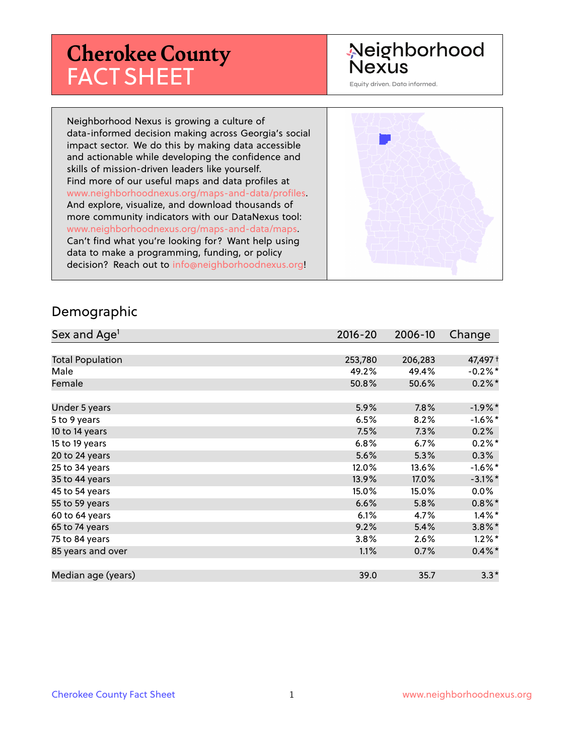# **Cherokee County** FACT SHEET

# Neighborhood **Nexus**

Equity driven. Data informed.

Neighborhood Nexus is growing a culture of data-informed decision making across Georgia's social impact sector. We do this by making data accessible and actionable while developing the confidence and skills of mission-driven leaders like yourself. Find more of our useful maps and data profiles at www.neighborhoodnexus.org/maps-and-data/profiles. And explore, visualize, and download thousands of more community indicators with our DataNexus tool: www.neighborhoodnexus.org/maps-and-data/maps. Can't find what you're looking for? Want help using data to make a programming, funding, or policy decision? Reach out to [info@neighborhoodnexus.org!](mailto:info@neighborhoodnexus.org)



#### Demographic

| Sex and Age <sup>1</sup> | $2016 - 20$ | 2006-10 | Change     |
|--------------------------|-------------|---------|------------|
|                          |             |         |            |
| <b>Total Population</b>  | 253,780     | 206,283 | 47,497 +   |
| Male                     | 49.2%       | 49.4%   | $-0.2\%$ * |
| Female                   | 50.8%       | 50.6%   | $0.2\%$    |
|                          |             |         |            |
| Under 5 years            | 5.9%        | 7.8%    | $-1.9\%$ * |
| 5 to 9 years             | 6.5%        | 8.2%    | $-1.6%$ *  |
| 10 to 14 years           | 7.5%        | 7.3%    | 0.2%       |
| 15 to 19 years           | 6.8%        | 6.7%    | $0.2%$ *   |
| 20 to 24 years           | 5.6%        | 5.3%    | 0.3%       |
| 25 to 34 years           | 12.0%       | 13.6%   | $-1.6%$ *  |
| 35 to 44 years           | 13.9%       | 17.0%   | $-3.1\%$ * |
| 45 to 54 years           | 15.0%       | 15.0%   | $0.0\%$    |
| 55 to 59 years           | 6.6%        | 5.8%    | $0.8\%$ *  |
| 60 to 64 years           | 6.1%        | 4.7%    | $1.4\%$ *  |
| 65 to 74 years           | 9.2%        | 5.4%    | $3.8\%$ *  |
| 75 to 84 years           | 3.8%        | 2.6%    | $1.2\%$ *  |
| 85 years and over        | 1.1%        | 0.7%    | $0.4\%$ *  |
|                          |             |         |            |
| Median age (years)       | 39.0        | 35.7    | $3.3*$     |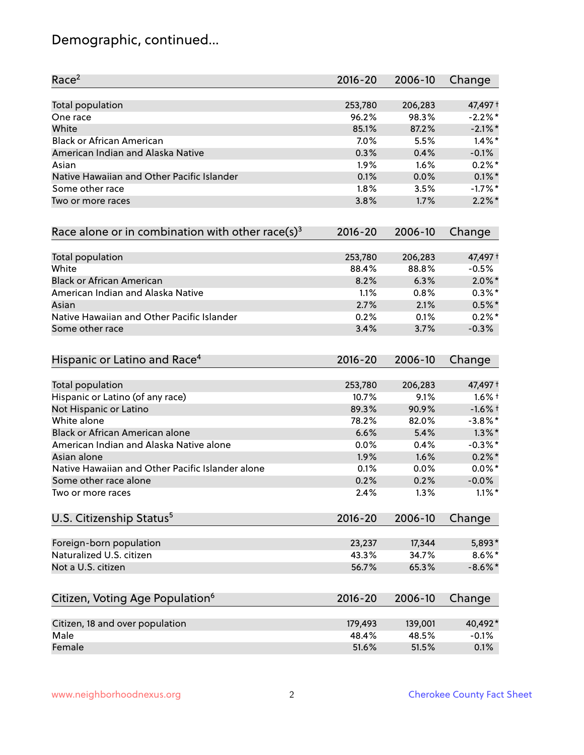# Demographic, continued...

| Race <sup>2</sup>                                   | $2016 - 20$ | 2006-10 | Change     |
|-----------------------------------------------------|-------------|---------|------------|
| <b>Total population</b>                             | 253,780     | 206,283 | 47,497 +   |
| One race                                            | 96.2%       | 98.3%   | $-2.2%$ *  |
| White                                               | 85.1%       | 87.2%   | $-2.1\%$ * |
| <b>Black or African American</b>                    | 7.0%        | 5.5%    | $1.4\%$ *  |
| American Indian and Alaska Native                   | 0.3%        | 0.4%    | $-0.1%$    |
| Asian                                               | 1.9%        | 1.6%    | $0.2%$ *   |
| Native Hawaiian and Other Pacific Islander          | 0.1%        | 0.0%    | $0.1\%$ *  |
| Some other race                                     | 1.8%        | 3.5%    | $-1.7%$ *  |
| Two or more races                                   | 3.8%        | 1.7%    | $2.2\%$ *  |
| Race alone or in combination with other race(s) $3$ | $2016 - 20$ | 2006-10 | Change     |
| Total population                                    | 253,780     | 206,283 | 47,497 +   |
| White                                               | 88.4%       | 88.8%   | $-0.5%$    |
| <b>Black or African American</b>                    | 8.2%        | 6.3%    | $2.0\%$ *  |
| American Indian and Alaska Native                   | 1.1%        | 0.8%    | $0.3\%*$   |
| Asian                                               | 2.7%        | 2.1%    | $0.5%$ *   |
| Native Hawaiian and Other Pacific Islander          | 0.2%        | 0.1%    | $0.2%$ *   |
| Some other race                                     | 3.4%        | 3.7%    | $-0.3%$    |
| Hispanic or Latino and Race <sup>4</sup>            | $2016 - 20$ | 2006-10 | Change     |
| <b>Total population</b>                             | 253,780     | 206,283 | 47,497 +   |
| Hispanic or Latino (of any race)                    | 10.7%       | 9.1%    | $1.6\%$ †  |
| Not Hispanic or Latino                              | 89.3%       | 90.9%   | $-1.6%$ †  |
| White alone                                         | 78.2%       | 82.0%   | $-3.8\%$ * |
| Black or African American alone                     | 6.6%        | 5.4%    | $1.3\%$ *  |
| American Indian and Alaska Native alone             | 0.0%        | 0.4%    | $-0.3\%$ * |
| Asian alone                                         | 1.9%        | 1.6%    | $0.2\%$ *  |
| Native Hawaiian and Other Pacific Islander alone    | 0.1%        | $0.0\%$ | $0.0\%$ *  |
| Some other race alone                               | 0.2%        | 0.2%    | $-0.0\%$   |
| Two or more races                                   | 2.4%        | 1.3%    | $1.1\%$ *  |
| U.S. Citizenship Status <sup>5</sup>                | $2016 - 20$ | 2006-10 | Change     |
| Foreign-born population                             | 23,237      | 17,344  | 5,893*     |
| Naturalized U.S. citizen                            | 43.3%       | 34.7%   | $8.6\%$ *  |
| Not a U.S. citizen                                  | 56.7%       | 65.3%   | $-8.6\%$ * |
| Citizen, Voting Age Population <sup>6</sup>         | $2016 - 20$ | 2006-10 | Change     |
|                                                     |             |         |            |
| Citizen, 18 and over population                     | 179,493     | 139,001 | 40,492*    |
| Male                                                | 48.4%       | 48.5%   | $-0.1%$    |
| Female                                              | 51.6%       | 51.5%   | 0.1%       |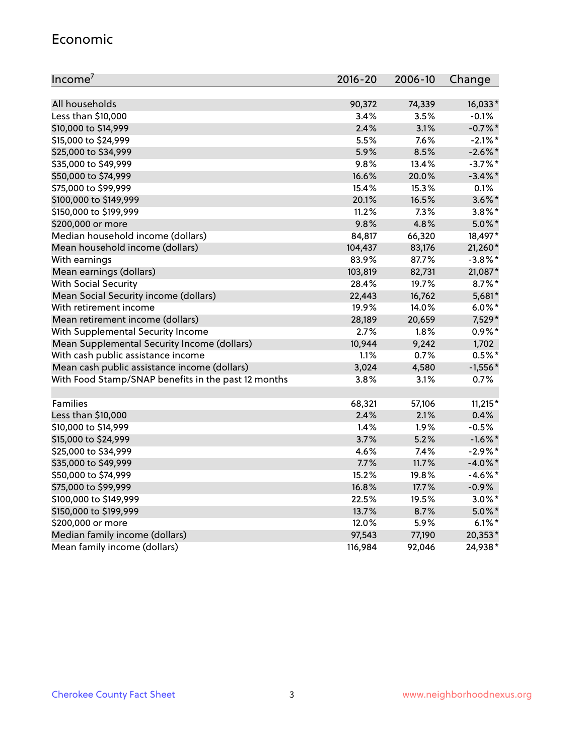#### Economic

| Income <sup>7</sup>                                 | 2016-20 | 2006-10 | Change     |
|-----------------------------------------------------|---------|---------|------------|
|                                                     |         |         |            |
| All households                                      | 90,372  | 74,339  | 16,033*    |
| Less than \$10,000                                  | 3.4%    | 3.5%    | $-0.1%$    |
| \$10,000 to \$14,999                                | 2.4%    | 3.1%    | $-0.7%$ *  |
| \$15,000 to \$24,999                                | 5.5%    | 7.6%    | $-2.1\%$ * |
| \$25,000 to \$34,999                                | 5.9%    | 8.5%    | $-2.6\%$ * |
| \$35,000 to \$49,999                                | 9.8%    | 13.4%   | $-3.7\%$ * |
| \$50,000 to \$74,999                                | 16.6%   | 20.0%   | $-3.4\%$ * |
| \$75,000 to \$99,999                                | 15.4%   | 15.3%   | 0.1%       |
| \$100,000 to \$149,999                              | 20.1%   | 16.5%   | $3.6\%$ *  |
| \$150,000 to \$199,999                              | 11.2%   | 7.3%    | $3.8\%$ *  |
| \$200,000 or more                                   | 9.8%    | 4.8%    | $5.0\%$ *  |
| Median household income (dollars)                   | 84,817  | 66,320  | 18,497*    |
| Mean household income (dollars)                     | 104,437 | 83,176  | 21,260*    |
| With earnings                                       | 83.9%   | 87.7%   | $-3.8\%$ * |
| Mean earnings (dollars)                             | 103,819 | 82,731  | 21,087*    |
| <b>With Social Security</b>                         | 28.4%   | 19.7%   | $8.7\%$ *  |
| Mean Social Security income (dollars)               | 22,443  | 16,762  | 5,681*     |
| With retirement income                              | 19.9%   | 14.0%   | $6.0\%$ *  |
| Mean retirement income (dollars)                    | 28,189  | 20,659  | 7,529*     |
| With Supplemental Security Income                   | 2.7%    | $1.8\%$ | $0.9\% *$  |
| Mean Supplemental Security Income (dollars)         | 10,944  | 9,242   | 1,702      |
| With cash public assistance income                  | 1.1%    | 0.7%    | $0.5%$ *   |
| Mean cash public assistance income (dollars)        | 3,024   | 4,580   | $-1,556*$  |
| With Food Stamp/SNAP benefits in the past 12 months | 3.8%    | 3.1%    | 0.7%       |
|                                                     |         |         |            |
| Families                                            | 68,321  | 57,106  | $11,215*$  |
| Less than \$10,000                                  | 2.4%    | 2.1%    | 0.4%       |
| \$10,000 to \$14,999                                | 1.4%    | 1.9%    | $-0.5%$    |
| \$15,000 to \$24,999                                | 3.7%    | 5.2%    | $-1.6\%$ * |
| \$25,000 to \$34,999                                | 4.6%    | 7.4%    | $-2.9\%$ * |
| \$35,000 to \$49,999                                | 7.7%    | 11.7%   | $-4.0\%$ * |
| \$50,000 to \$74,999                                | 15.2%   | 19.8%   | $-4.6\%$ * |
| \$75,000 to \$99,999                                | 16.8%   | 17.7%   | $-0.9%$    |
| \$100,000 to \$149,999                              | 22.5%   | 19.5%   | $3.0\%$ *  |
| \$150,000 to \$199,999                              | 13.7%   | 8.7%    | $5.0\%$ *  |
| \$200,000 or more                                   | 12.0%   | 5.9%    | $6.1\%$ *  |
| Median family income (dollars)                      | 97,543  | 77,190  | 20,353*    |
| Mean family income (dollars)                        | 116,984 | 92,046  | 24,938*    |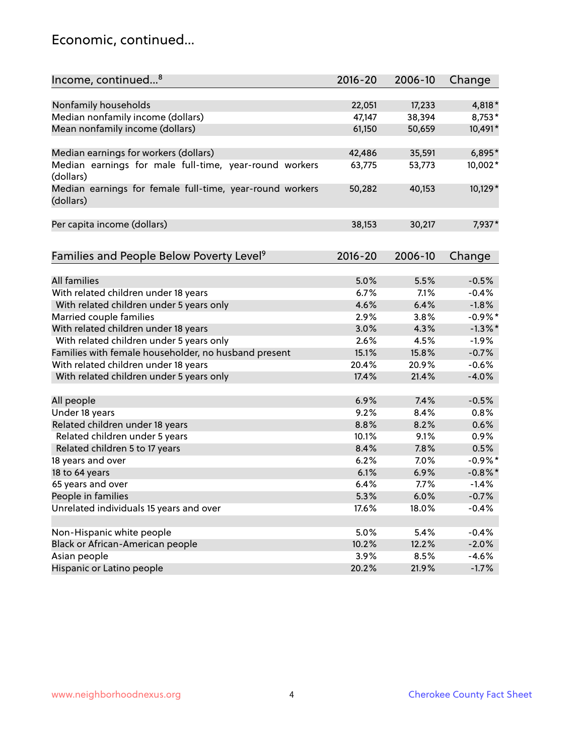#### Economic, continued...

| Income, continued <sup>8</sup>                                        | $2016 - 20$ | 2006-10 | Change     |
|-----------------------------------------------------------------------|-------------|---------|------------|
|                                                                       |             |         |            |
| Nonfamily households                                                  | 22,051      | 17,233  | 4,818*     |
| Median nonfamily income (dollars)                                     | 47,147      | 38,394  | 8,753*     |
| Mean nonfamily income (dollars)                                       | 61,150      | 50,659  | 10,491*    |
| Median earnings for workers (dollars)                                 | 42,486      | 35,591  | 6,895*     |
| Median earnings for male full-time, year-round workers<br>(dollars)   | 63,775      | 53,773  | 10,002*    |
| Median earnings for female full-time, year-round workers<br>(dollars) | 50,282      | 40,153  | 10,129*    |
| Per capita income (dollars)                                           | 38,153      | 30,217  | 7,937*     |
| Families and People Below Poverty Level <sup>9</sup>                  | $2016 - 20$ | 2006-10 | Change     |
|                                                                       |             |         |            |
| <b>All families</b>                                                   | 5.0%        | 5.5%    | $-0.5%$    |
| With related children under 18 years                                  | 6.7%        | 7.1%    | $-0.4%$    |
| With related children under 5 years only                              | 4.6%        | 6.4%    | $-1.8%$    |
| Married couple families                                               | 2.9%        | 3.8%    | $-0.9%$ *  |
| With related children under 18 years                                  | 3.0%        | 4.3%    | $-1.3\%$ * |
| With related children under 5 years only                              | 2.6%        | 4.5%    | $-1.9%$    |
| Families with female householder, no husband present                  | 15.1%       | 15.8%   | $-0.7%$    |
| With related children under 18 years                                  | 20.4%       | 20.9%   | $-0.6%$    |
| With related children under 5 years only                              | 17.4%       | 21.4%   | $-4.0%$    |
|                                                                       |             |         |            |
| All people                                                            | 6.9%        | 7.4%    | $-0.5%$    |
| Under 18 years                                                        | 9.2%        | 8.4%    | 0.8%       |
| Related children under 18 years                                       | 8.8%        | 8.2%    | 0.6%       |
| Related children under 5 years                                        | 10.1%       | 9.1%    | 0.9%       |
| Related children 5 to 17 years                                        | 8.4%        | 7.8%    | 0.5%       |
| 18 years and over                                                     | 6.2%        | 7.0%    | $-0.9%$ *  |
| 18 to 64 years                                                        | 6.1%        | 6.9%    | $-0.8\%$ * |
| 65 years and over                                                     | 6.4%        | 7.7%    | $-1.4%$    |
| People in families                                                    | 5.3%        | 6.0%    | $-0.7%$    |
| Unrelated individuals 15 years and over                               | 17.6%       | 18.0%   | $-0.4%$    |
|                                                                       |             |         |            |
| Non-Hispanic white people                                             | 5.0%        | 5.4%    | $-0.4%$    |
| Black or African-American people                                      | 10.2%       | 12.2%   | $-2.0%$    |
| Asian people                                                          | 3.9%        | 8.5%    | $-4.6%$    |
| Hispanic or Latino people                                             | 20.2%       | 21.9%   | $-1.7%$    |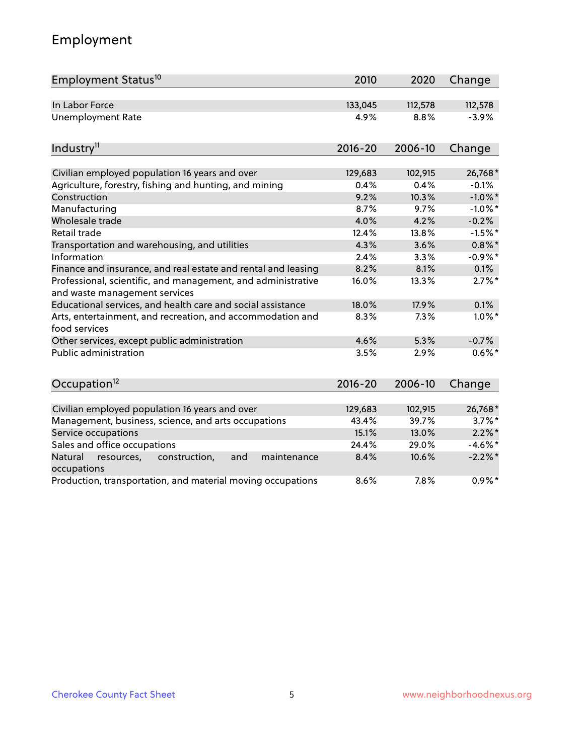# Employment

| Employment Status <sup>10</sup>                                                               | 2010        | 2020    | Change     |
|-----------------------------------------------------------------------------------------------|-------------|---------|------------|
| In Labor Force                                                                                | 133,045     | 112,578 | 112,578    |
| <b>Unemployment Rate</b>                                                                      | 4.9%        | 8.8%    | $-3.9%$    |
| Industry <sup>11</sup>                                                                        | $2016 - 20$ | 2006-10 | Change     |
| Civilian employed population 16 years and over                                                | 129,683     | 102,915 | 26,768*    |
| Agriculture, forestry, fishing and hunting, and mining                                        | 0.4%        | 0.4%    | $-0.1%$    |
| Construction                                                                                  | 9.2%        | 10.3%   | $-1.0\%$ * |
| Manufacturing                                                                                 | 8.7%        | 9.7%    | $-1.0\%$ * |
| Wholesale trade                                                                               | 4.0%        | 4.2%    | $-0.2%$    |
| Retail trade                                                                                  | 12.4%       | 13.8%   | $-1.5%$ *  |
| Transportation and warehousing, and utilities                                                 | 4.3%        | 3.6%    | $0.8\%$ *  |
| Information                                                                                   | 2.4%        | 3.3%    | $-0.9%$ *  |
| Finance and insurance, and real estate and rental and leasing                                 | 8.2%        | 8.1%    | 0.1%       |
| Professional, scientific, and management, and administrative<br>and waste management services | 16.0%       | 13.3%   | $2.7\%$ *  |
| Educational services, and health care and social assistance                                   | 18.0%       | 17.9%   | 0.1%       |
| Arts, entertainment, and recreation, and accommodation and<br>food services                   | 8.3%        | 7.3%    | $1.0\%$ *  |
| Other services, except public administration                                                  | 4.6%        | 5.3%    | $-0.7%$    |
| Public administration                                                                         | 3.5%        | 2.9%    | $0.6\%$ *  |
| Occupation <sup>12</sup>                                                                      | $2016 - 20$ | 2006-10 | Change     |
| Civilian employed population 16 years and over                                                | 129,683     | 102,915 | 26,768*    |
| Management, business, science, and arts occupations                                           | 43.4%       | 39.7%   | $3.7\%$ *  |
| Service occupations                                                                           | 15.1%       | 13.0%   | $2.2\%$ *  |
| Sales and office occupations                                                                  | 24.4%       | 29.0%   | $-4.6\%$ * |
| Natural<br>resources,<br>construction,<br>and<br>maintenance<br>occupations                   | 8.4%        | 10.6%   | $-2.2%$ *  |
| Production, transportation, and material moving occupations                                   | 8.6%        | 7.8%    | $0.9\%$ *  |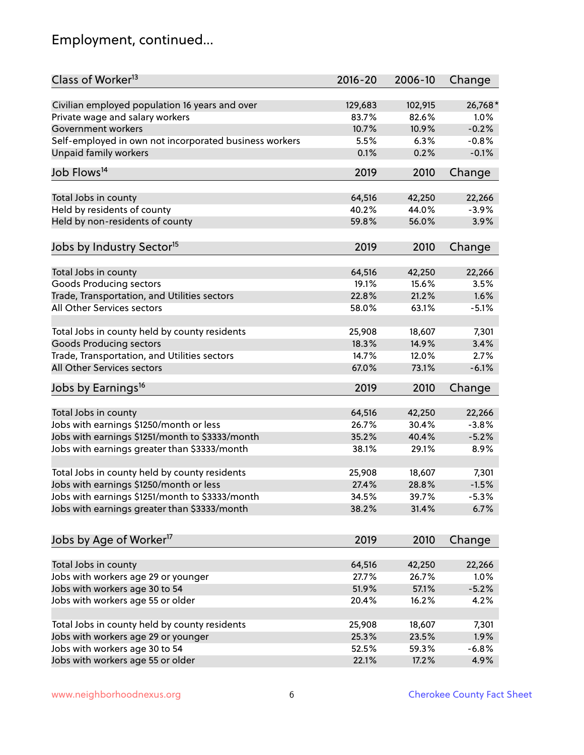# Employment, continued...

| Class of Worker <sup>13</sup>                          | $2016 - 20$     | 2006-10         | Change            |
|--------------------------------------------------------|-----------------|-----------------|-------------------|
| Civilian employed population 16 years and over         | 129,683         | 102,915         | 26,768*           |
| Private wage and salary workers                        | 83.7%           | 82.6%           | 1.0%              |
| Government workers                                     | 10.7%           | 10.9%           | $-0.2%$           |
| Self-employed in own not incorporated business workers | 5.5%            | 6.3%            | $-0.8%$           |
| Unpaid family workers                                  | 0.1%            | 0.2%            | $-0.1%$           |
| Job Flows <sup>14</sup>                                | 2019            | 2010            | Change            |
|                                                        |                 |                 |                   |
| Total Jobs in county<br>Held by residents of county    | 64,516<br>40.2% | 42,250<br>44.0% | 22,266<br>$-3.9%$ |
|                                                        | 59.8%           | 56.0%           | 3.9%              |
| Held by non-residents of county                        |                 |                 |                   |
| Jobs by Industry Sector <sup>15</sup>                  | 2019            | 2010            | Change            |
| Total Jobs in county                                   | 64,516          | 42,250          | 22,266            |
| Goods Producing sectors                                | 19.1%           | 15.6%           | 3.5%              |
| Trade, Transportation, and Utilities sectors           | 22.8%           | 21.2%           | 1.6%              |
| All Other Services sectors                             | 58.0%           | 63.1%           | $-5.1%$           |
|                                                        |                 |                 |                   |
| Total Jobs in county held by county residents          | 25,908          | 18,607          | 7,301             |
| <b>Goods Producing sectors</b>                         | 18.3%           | 14.9%           | 3.4%              |
| Trade, Transportation, and Utilities sectors           | 14.7%           | 12.0%           | 2.7%              |
| All Other Services sectors                             | 67.0%           | 73.1%           | $-6.1%$           |
| Jobs by Earnings <sup>16</sup>                         | 2019            | 2010            | Change            |
|                                                        |                 |                 |                   |
| Total Jobs in county                                   | 64,516          | 42,250          | 22,266            |
| Jobs with earnings \$1250/month or less                | 26.7%           | 30.4%           | $-3.8%$           |
| Jobs with earnings \$1251/month to \$3333/month        | 35.2%           | 40.4%           | $-5.2%$           |
| Jobs with earnings greater than \$3333/month           | 38.1%           | 29.1%           | 8.9%              |
| Total Jobs in county held by county residents          | 25,908          | 18,607          | 7,301             |
| Jobs with earnings \$1250/month or less                | 27.4%           | 28.8%           | $-1.5%$           |
| Jobs with earnings \$1251/month to \$3333/month        | 34.5%           | 39.7%           | $-5.3%$           |
| Jobs with earnings greater than \$3333/month           | 38.2%           | 31.4%           | 6.7%              |
| Jobs by Age of Worker <sup>17</sup>                    | 2019            | 2010            | Change            |
|                                                        |                 |                 |                   |
| Total Jobs in county                                   | 64,516          | 42,250          | 22,266            |
| Jobs with workers age 29 or younger                    | 27.7%           | 26.7%           | 1.0%              |
| Jobs with workers age 30 to 54                         | 51.9%           | 57.1%           | $-5.2%$           |
| Jobs with workers age 55 or older                      | 20.4%           | 16.2%           | 4.2%              |
|                                                        |                 |                 |                   |
| Total Jobs in county held by county residents          | 25,908          | 18,607          | 7,301             |
| Jobs with workers age 29 or younger                    | 25.3%           | 23.5%           | 1.9%              |
| Jobs with workers age 30 to 54                         | 52.5%           | 59.3%           | $-6.8%$           |
| Jobs with workers age 55 or older                      | 22.1%           | 17.2%           | 4.9%              |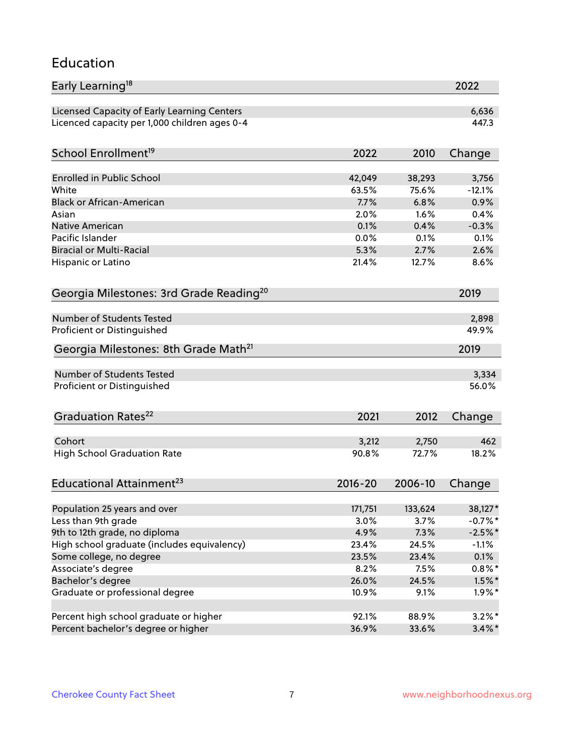#### Education

| Early Learning <sup>18</sup>                        |                |                | 2022      |
|-----------------------------------------------------|----------------|----------------|-----------|
| Licensed Capacity of Early Learning Centers         |                |                | 6,636     |
| Licenced capacity per 1,000 children ages 0-4       |                |                | 447.3     |
| School Enrollment <sup>19</sup>                     | 2022           | 2010           | Change    |
|                                                     |                |                |           |
| <b>Enrolled in Public School</b>                    | 42,049         | 38,293         | 3,756     |
| White                                               | 63.5%          | 75.6%          | $-12.1%$  |
| <b>Black or African-American</b>                    | 7.7%           | 6.8%           | 0.9%      |
| Asian                                               | 2.0%           | 1.6%           | 0.4%      |
| Native American                                     | 0.1%           | 0.4%           | $-0.3%$   |
| Pacific Islander                                    | 0.0%           | 0.1%           | 0.1%      |
| <b>Biracial or Multi-Racial</b>                     | 5.3%           | 2.7%           | 2.6%      |
| Hispanic or Latino                                  | 21.4%          | 12.7%          | 8.6%      |
| Georgia Milestones: 3rd Grade Reading <sup>20</sup> |                |                | 2019      |
|                                                     |                |                |           |
| <b>Number of Students Tested</b>                    |                |                | 2,898     |
| Proficient or Distinguished                         |                |                | 49.9%     |
| Georgia Milestones: 8th Grade Math <sup>21</sup>    |                |                | 2019      |
| Number of Students Tested                           |                |                | 3,334     |
| Proficient or Distinguished                         |                |                | 56.0%     |
|                                                     |                |                |           |
| Graduation Rates <sup>22</sup>                      | 2021           | 2012           | Change    |
| Cohort                                              |                |                | 462       |
| <b>High School Graduation Rate</b>                  | 3,212<br>90.8% | 2,750<br>72.7% | 18.2%     |
|                                                     |                |                |           |
| Educational Attainment <sup>23</sup>                | $2016 - 20$    | 2006-10        | Change    |
| Population 25 years and over                        | 171,751        | 133,624        | 38,127*   |
| Less than 9th grade                                 | 3.0%           | 3.7%           | $-0.7%$ * |
| 9th to 12th grade, no diploma                       | 4.9%           | 7.3%           | $-2.5%$ * |
| High school graduate (includes equivalency)         | 23.4%          | 24.5%          | $-1.1%$   |
| Some college, no degree                             | 23.5%          | 23.4%          | 0.1%      |
|                                                     | 8.2%           |                |           |
| Associate's degree                                  |                | 7.5%           | $0.8\%$ * |
| Bachelor's degree                                   | 26.0%          | 24.5%          | $1.5\%$ * |
| Graduate or professional degree                     | 10.9%          | 9.1%           | $1.9\%$ * |
| Percent high school graduate or higher              | 92.1%          | 88.9%          | $3.2\%$ * |
| Percent bachelor's degree or higher                 | 36.9%          | 33.6%          | $3.4\%$ * |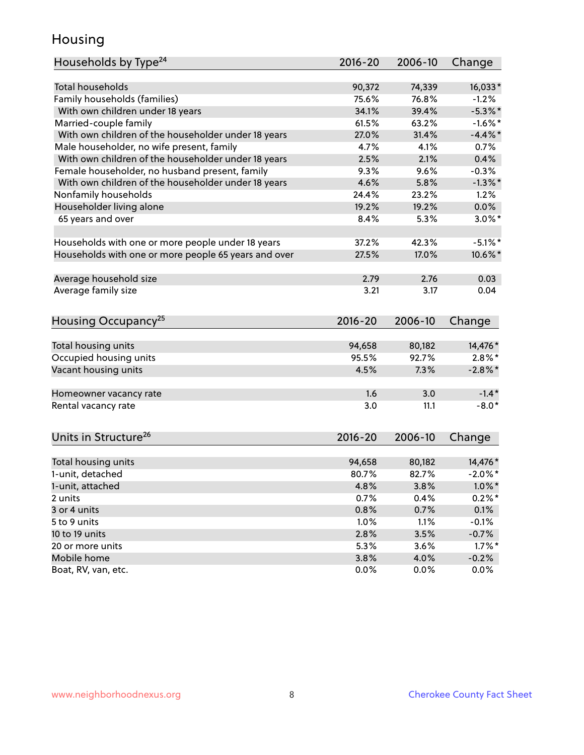#### Housing

| Households by Type <sup>24</sup>                     | 2016-20         | 2006-10         | Change                |
|------------------------------------------------------|-----------------|-----------------|-----------------------|
|                                                      |                 |                 |                       |
| <b>Total households</b>                              | 90,372          | 74,339          | 16,033*               |
| Family households (families)                         | 75.6%           | 76.8%           | $-1.2%$               |
| With own children under 18 years                     | 34.1%           | 39.4%           | $-5.3\%$ *            |
| Married-couple family                                | 61.5%           | 63.2%           | $-1.6\%$ *            |
| With own children of the householder under 18 years  | 27.0%           | 31.4%           | $-4.4\%$ *            |
| Male householder, no wife present, family            | 4.7%            | 4.1%            | 0.7%                  |
| With own children of the householder under 18 years  | 2.5%            | 2.1%            | 0.4%                  |
| Female householder, no husband present, family       | 9.3%            | 9.6%            | $-0.3%$               |
| With own children of the householder under 18 years  | 4.6%            | 5.8%            | $-1.3\%$ *            |
| Nonfamily households                                 | 24.4%           | 23.2%           | 1.2%                  |
| Householder living alone                             | 19.2%           | 19.2%           | 0.0%                  |
| 65 years and over                                    | 8.4%            | 5.3%            | $3.0\%$ *             |
|                                                      | 37.2%           | 42.3%           | $-5.1\%$ *            |
| Households with one or more people under 18 years    | 27.5%           | 17.0%           | 10.6%*                |
| Households with one or more people 65 years and over |                 |                 |                       |
| Average household size                               | 2.79            | 2.76            | 0.03                  |
| Average family size                                  | 3.21            | 3.17            | 0.04                  |
|                                                      |                 |                 |                       |
| Housing Occupancy <sup>25</sup>                      | 2016-20         | 2006-10         | Change                |
|                                                      |                 |                 |                       |
| Total housing units<br>Occupied housing units        | 94,658<br>95.5% | 80,182<br>92.7% | 14,476 *<br>$2.8\%$ * |
|                                                      | 4.5%            | 7.3%            |                       |
| Vacant housing units                                 |                 |                 | $-2.8\%$ *            |
| Homeowner vacancy rate                               | 1.6             | 3.0             | $-1.4*$               |
| Rental vacancy rate                                  | 3.0             | 11.1            | $-8.0*$               |
|                                                      |                 |                 |                       |
| Units in Structure <sup>26</sup>                     | $2016 - 20$     | 2006-10         | Change                |
|                                                      | 94,658          | 80,182          | 14,476 *              |
| Total housing units<br>1-unit, detached              | 80.7%           | 82.7%           | $-2.0\%$ *            |
|                                                      |                 |                 |                       |
| 1-unit, attached                                     | 4.8%<br>0.7%    | 3.8%            | $1.0\%$ *             |
| 2 units<br>3 or 4 units                              |                 | 0.4%            | $0.2\%$ *             |
|                                                      | 0.8%            | 0.7%            | 0.1%                  |
| 5 to 9 units                                         | 1.0%            | 1.1%            | $-0.1%$               |
| 10 to 19 units                                       | 2.8%            | 3.5%            | $-0.7%$               |
| 20 or more units<br>Mobile home                      | 5.3%            | 3.6%            | $1.7\%$ *             |
|                                                      | 3.8%            | 4.0%            | $-0.2%$               |
| Boat, RV, van, etc.                                  | 0.0%            | 0.0%            | 0.0%                  |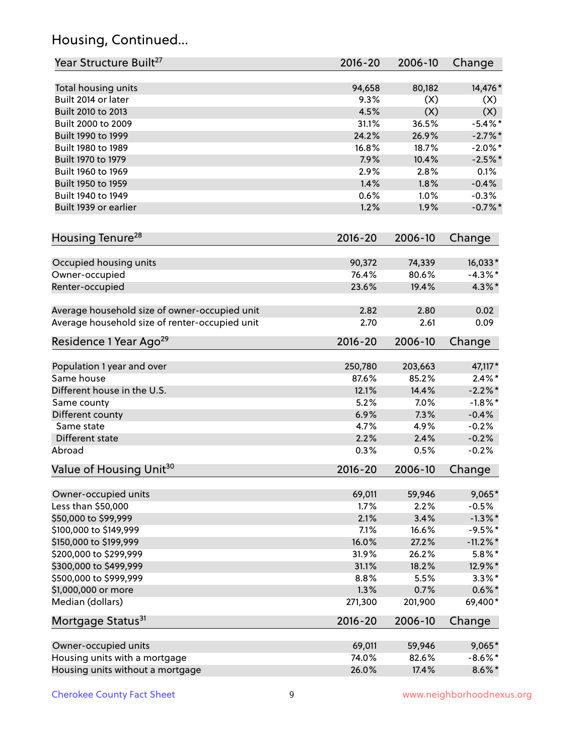# Housing, Continued...

| Year Structure Built <sup>27</sup>             | 2016-20     | 2006-10 | Change      |
|------------------------------------------------|-------------|---------|-------------|
| Total housing units                            | 94,658      | 80,182  | 14,476*     |
| Built 2014 or later                            | 9.3%        | (X)     | (X)         |
| Built 2010 to 2013                             | 4.5%        | (X)     | (X)         |
| Built 2000 to 2009                             | 31.1%       | 36.5%   | $-5.4\%$ *  |
| Built 1990 to 1999                             | 24.2%       | 26.9%   | $-2.7%$ *   |
| Built 1980 to 1989                             | 16.8%       | 18.7%   | $-2.0\%$ *  |
| Built 1970 to 1979                             | 7.9%        | 10.4%   | $-2.5%$ *   |
| Built 1960 to 1969                             | 2.9%        | 2.8%    | 0.1%        |
| Built 1950 to 1959                             | 1.4%        | 1.8%    | $-0.4%$     |
| Built 1940 to 1949                             | 0.6%        | 1.0%    | $-0.3%$     |
| Built 1939 or earlier                          | 1.2%        | 1.9%    | $-0.7%$ *   |
| Housing Tenure <sup>28</sup>                   | $2016 - 20$ | 2006-10 | Change      |
| Occupied housing units                         | 90,372      | 74,339  | $16,033*$   |
| Owner-occupied                                 | 76.4%       | 80.6%   | $-4.3\%$ *  |
| Renter-occupied                                | 23.6%       | 19.4%   | 4.3%*       |
|                                                |             |         |             |
| Average household size of owner-occupied unit  | 2.82        | 2.80    | 0.02        |
| Average household size of renter-occupied unit | 2.70        | 2.61    | 0.09        |
| Residence 1 Year Ago <sup>29</sup>             | 2016-20     | 2006-10 | Change      |
|                                                |             |         |             |
| Population 1 year and over                     | 250,780     | 203,663 | 47,117*     |
| Same house                                     | 87.6%       | 85.2%   | $2.4\%$ *   |
| Different house in the U.S.                    | 12.1%       | 14.4%   | $-2.2\%$ *  |
| Same county                                    | 5.2%        | 7.0%    | $-1.8\%$ *  |
| Different county                               | 6.9%        | 7.3%    | $-0.4%$     |
| Same state                                     | 4.7%        | 4.9%    | $-0.2%$     |
| Different state                                | 2.2%        | 2.4%    | $-0.2%$     |
| Abroad                                         | 0.3%        | 0.5%    | $-0.2%$     |
| Value of Housing Unit <sup>30</sup>            | $2016 - 20$ | 2006-10 | Change      |
| Owner-occupied units                           | 69,011      | 59,946  | 9,065*      |
| Less than \$50,000                             | 1.7%        | 2.2%    | $-0.5%$     |
| \$50,000 to \$99,999                           | 2.1%        | 3.4%    | $-1.3\%$ *  |
| \$100,000 to \$149,999                         | 7.1%        | 16.6%   | $-9.5%$ *   |
| \$150,000 to \$199,999                         | 16.0%       | 27.2%   | $-11.2\%$ * |
| \$200,000 to \$299,999                         | 31.9%       | 26.2%   | $5.8\%$ *   |
| \$300,000 to \$499,999                         | 31.1%       | 18.2%   | 12.9%*      |
| \$500,000 to \$999,999                         | 8.8%        | 5.5%    | $3.3\%$ *   |
| \$1,000,000 or more                            | 1.3%        | 0.7%    | $0.6\% *$   |
| Median (dollars)                               | 271,300     | 201,900 | 69,400*     |
| Mortgage Status <sup>31</sup>                  | 2016-20     | 2006-10 | Change      |
| Owner-occupied units                           | 69,011      | 59,946  | 9,065*      |
| Housing units with a mortgage                  | 74.0%       | 82.6%   | $-8.6\%$ *  |
| Housing units without a mortgage               | 26.0%       | 17.4%   | $8.6\%$ *   |
|                                                |             |         |             |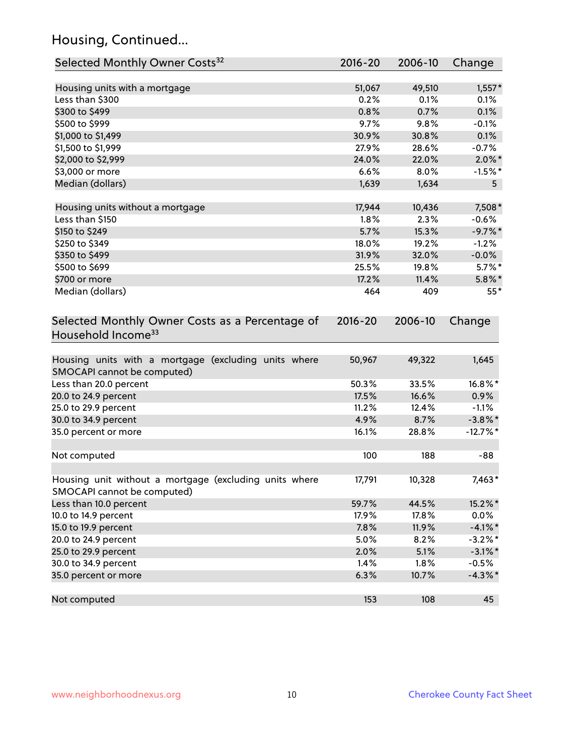# Housing, Continued...

| Selected Monthly Owner Costs <sup>32</sup>                                             | 2016-20 | 2006-10 | Change         |
|----------------------------------------------------------------------------------------|---------|---------|----------------|
| Housing units with a mortgage                                                          | 51,067  | 49,510  | $1,557*$       |
| Less than \$300                                                                        | 0.2%    | 0.1%    | 0.1%           |
| \$300 to \$499                                                                         | 0.8%    | 0.7%    | 0.1%           |
| \$500 to \$999                                                                         | 9.7%    | 9.8%    | $-0.1%$        |
| \$1,000 to \$1,499                                                                     | 30.9%   | 30.8%   | 0.1%           |
| \$1,500 to \$1,999                                                                     | 27.9%   | 28.6%   | $-0.7%$        |
| \$2,000 to \$2,999                                                                     | 24.0%   | 22.0%   | $2.0\%$ *      |
| \$3,000 or more                                                                        | 6.6%    | 8.0%    | $-1.5%$ *      |
| Median (dollars)                                                                       | 1,639   | 1,634   | 5 <sub>5</sub> |
| Housing units without a mortgage                                                       | 17,944  | 10,436  | 7,508*         |
| Less than \$150                                                                        | 1.8%    | 2.3%    | $-0.6%$        |
| \$150 to \$249                                                                         | 5.7%    | 15.3%   | $-9.7%$ *      |
| \$250 to \$349                                                                         | 18.0%   | 19.2%   | $-1.2%$        |
| \$350 to \$499                                                                         | 31.9%   | 32.0%   | $-0.0\%$       |
| \$500 to \$699                                                                         | 25.5%   | 19.8%   | $5.7\%$ *      |
| \$700 or more                                                                          | 17.2%   | 11.4%   | $5.8\%$ *      |
| Median (dollars)                                                                       | 464     | 409     | $55*$          |
| Household Income <sup>33</sup><br>Housing units with a mortgage (excluding units where | 50,967  | 49,322  | 1,645          |
| SMOCAPI cannot be computed)                                                            |         |         |                |
| Less than 20.0 percent                                                                 | 50.3%   | 33.5%   | $16.8\%$ *     |
| 20.0 to 24.9 percent                                                                   | 17.5%   | 16.6%   | 0.9%           |
| 25.0 to 29.9 percent                                                                   | 11.2%   | 12.4%   | $-1.1%$        |
| 30.0 to 34.9 percent                                                                   | 4.9%    | 8.7%    | $-3.8\%$ *     |
| 35.0 percent or more                                                                   | 16.1%   | 28.8%   | $-12.7%$ *     |
| Not computed                                                                           | 100     | 188     | $-88$          |
| Housing unit without a mortgage (excluding units where<br>SMOCAPI cannot be computed)  | 17,791  | 10,328  | 7,463*         |
| Less than 10.0 percent                                                                 | 59.7%   | 44.5%   | 15.2%*         |
| 10.0 to 14.9 percent                                                                   | 17.9%   | 17.8%   | 0.0%           |
| 15.0 to 19.9 percent                                                                   | 7.8%    | 11.9%   | $-4.1%$ *      |
| 20.0 to 24.9 percent                                                                   | 5.0%    | 8.2%    | $-3.2\%$ *     |
| 25.0 to 29.9 percent                                                                   | 2.0%    | 5.1%    | $-3.1\%$ *     |
| 30.0 to 34.9 percent                                                                   | 1.4%    | 1.8%    | $-0.5%$        |
| 35.0 percent or more                                                                   | 6.3%    | 10.7%   | $-4.3\%$ *     |
| Not computed                                                                           | 153     | 108     | 45             |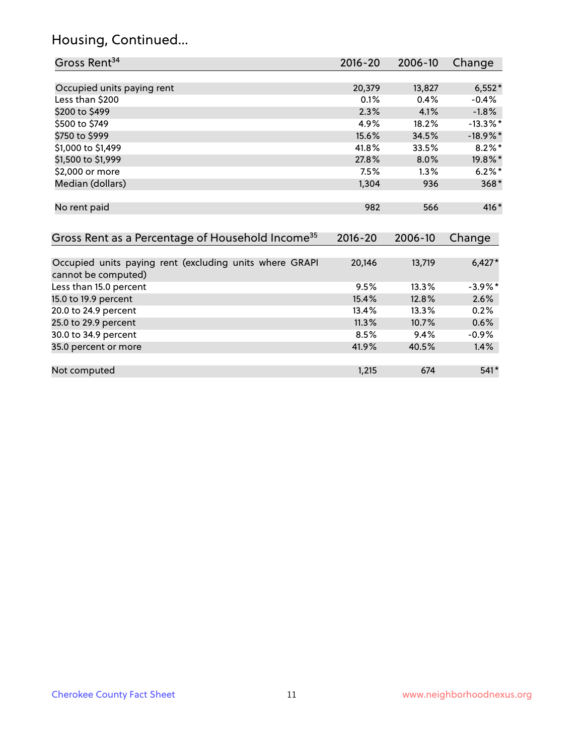# Housing, Continued...

| Gross Rent <sup>34</sup>                                     | 2016-20     | 2006-10 | Change      |
|--------------------------------------------------------------|-------------|---------|-------------|
|                                                              |             |         |             |
| Occupied units paying rent                                   | 20,379      | 13,827  | $6,552*$    |
| Less than \$200                                              | 0.1%        | 0.4%    | $-0.4%$     |
| \$200 to \$499                                               | 2.3%        | 4.1%    | $-1.8%$     |
| \$500 to \$749                                               | 4.9%        | 18.2%   | $-13.3\%$ * |
| \$750 to \$999                                               | 15.6%       | 34.5%   | $-18.9\%$ * |
| \$1,000 to \$1,499                                           | 41.8%       | 33.5%   | $8.2\%$ *   |
| \$1,500 to \$1,999                                           | 27.8%       | 8.0%    | 19.8%*      |
| \$2,000 or more                                              | 7.5%        | 1.3%    | $6.2\%$ *   |
| Median (dollars)                                             | 1,304       | 936     | $368*$      |
|                                                              |             |         |             |
| No rent paid                                                 | 982         | 566     | 416*        |
|                                                              |             |         |             |
| Gross Rent as a Percentage of Household Income <sup>35</sup> | $2016 - 20$ | 2006-10 | Change      |
|                                                              |             |         |             |
| Occupied units paying rent (excluding units where GRAPI      | 20,146      | 13,719  | $6,427*$    |
| cannot be computed)                                          |             |         |             |
| Less than 15.0 percent                                       | 9.5%        | 13.3%   | $-3.9\%$ *  |
| 15.0 to 19.9 percent                                         | 15.4%       | 12.8%   | 2.6%        |
| 20.0 to 24.9 percent                                         | 13.4%       | 13.3%   | 0.2%        |
| 25.0 to 29.9 percent                                         | 11.3%       | 10.7%   | 0.6%        |
| 30.0 to 34.9 percent                                         | 8.5%        | 9.4%    | $-0.9%$     |
| 35.0 percent or more                                         | 41.9%       | 40.5%   | 1.4%        |
|                                                              |             |         |             |
| Not computed                                                 | 1,215       | 674     | 541*        |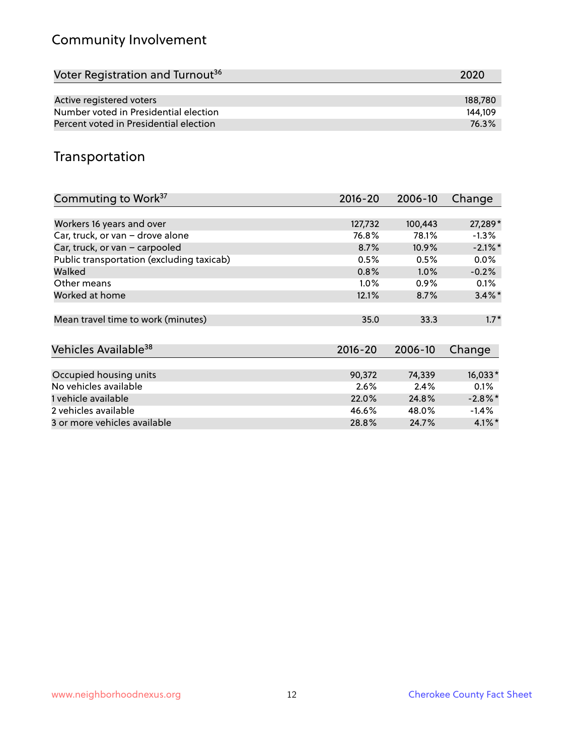# Community Involvement

| Voter Registration and Turnout <sup>36</sup> | 2020    |
|----------------------------------------------|---------|
|                                              |         |
| Active registered voters                     | 188,780 |
| Number voted in Presidential election        | 144.109 |
| Percent voted in Presidential election       | 76.3%   |

#### Transportation

| Commuting to Work <sup>37</sup>           | 2016-20     | 2006-10 | Change     |
|-------------------------------------------|-------------|---------|------------|
|                                           |             |         |            |
| Workers 16 years and over                 | 127,732     | 100,443 | 27,289*    |
| Car, truck, or van - drove alone          | 76.8%       | 78.1%   | $-1.3\%$   |
| Car, truck, or van - carpooled            | 8.7%        | 10.9%   | $-2.1\%$ * |
| Public transportation (excluding taxicab) | 0.5%        | 0.5%    | $0.0\%$    |
| Walked                                    | 0.8%        | 1.0%    | $-0.2%$    |
| Other means                               | $1.0\%$     | $0.9\%$ | 0.1%       |
| Worked at home                            | 12.1%       | 8.7%    | $3.4\%$ *  |
| Mean travel time to work (minutes)        | 35.0        | 33.3    | $1.7*$     |
| Vehicles Available <sup>38</sup>          | $2016 - 20$ | 2006-10 | Change     |
|                                           |             |         |            |
| Occupied housing units                    | 90,372      | 74,339  | $16,033*$  |
| No vehicles available                     | 2.6%        | 2.4%    | 0.1%       |
| 1 vehicle available                       | 22.0%       | 24.8%   | $-2.8\%$ * |
| 2 vehicles available                      | 46.6%       | 48.0%   | $-1.4%$    |
| 3 or more vehicles available              | 28.8%       | 24.7%   | $4.1\%$ *  |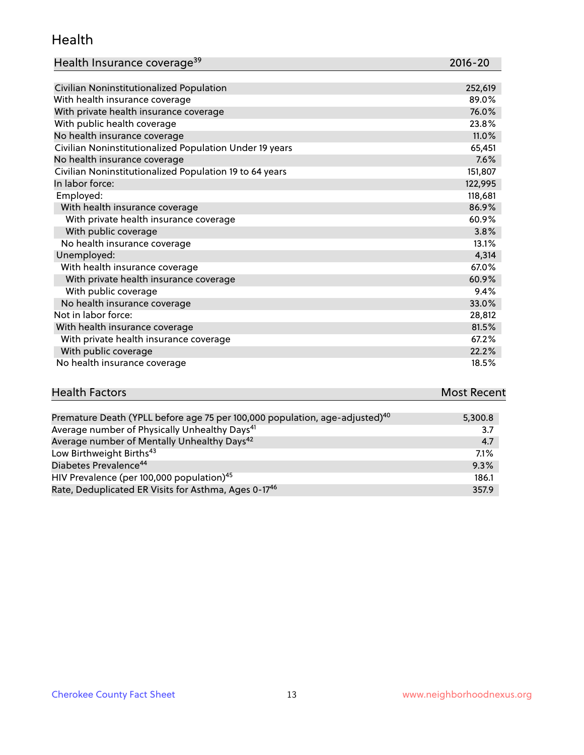#### Health

| Health Insurance coverage <sup>39</sup> | 2016-20 |
|-----------------------------------------|---------|
|-----------------------------------------|---------|

| Civilian Noninstitutionalized Population                | 252,619 |
|---------------------------------------------------------|---------|
| With health insurance coverage                          | 89.0%   |
| With private health insurance coverage                  | 76.0%   |
| With public health coverage                             | 23.8%   |
| No health insurance coverage                            | 11.0%   |
| Civilian Noninstitutionalized Population Under 19 years | 65,451  |
| No health insurance coverage                            | 7.6%    |
| Civilian Noninstitutionalized Population 19 to 64 years | 151,807 |
| In labor force:                                         | 122,995 |
| Employed:                                               | 118,681 |
| With health insurance coverage                          | 86.9%   |
| With private health insurance coverage                  | 60.9%   |
| With public coverage                                    | 3.8%    |
| No health insurance coverage                            | 13.1%   |
| Unemployed:                                             | 4,314   |
| With health insurance coverage                          | 67.0%   |
| With private health insurance coverage                  | 60.9%   |
| With public coverage                                    | 9.4%    |
| No health insurance coverage                            | 33.0%   |
| Not in labor force:                                     | 28,812  |
| With health insurance coverage                          | 81.5%   |
| With private health insurance coverage                  | 67.2%   |
| With public coverage                                    | 22.2%   |
| No health insurance coverage                            | 18.5%   |

#### **Health Factors Most Recent** Premature Death (YPLL before age 75 per 100,000 population, age-adjusted)<sup>40</sup> 5,300.8

| The mature Death (The Berore age 75 per 100,000 population, age adjusted) | $J_{\nu}$ vv.v |
|---------------------------------------------------------------------------|----------------|
| Average number of Physically Unhealthy Days <sup>41</sup>                 | 3.7            |
| Average number of Mentally Unhealthy Days <sup>42</sup>                   | 4.7            |
| Low Birthweight Births <sup>43</sup>                                      | $7.1\%$        |
| Diabetes Prevalence <sup>44</sup>                                         | 9.3%           |
| HIV Prevalence (per 100,000 population) <sup>45</sup>                     | 186.1          |
| Rate, Deduplicated ER Visits for Asthma, Ages 0-17 <sup>46</sup>          | 357.9          |